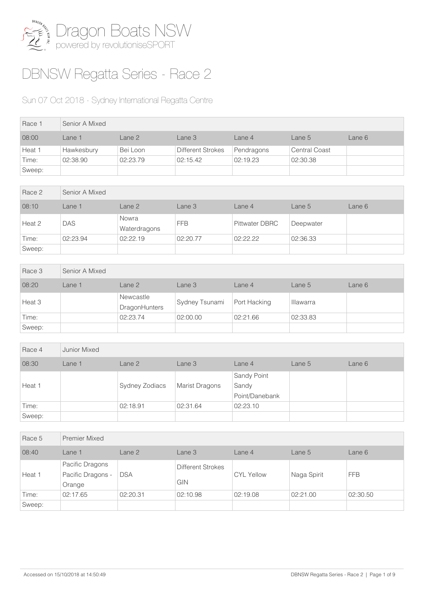

## DBNSW Regatta Series - Race 2

## Sun 07 Oct 2018 - Sydney International Regatta Centre

| Race 1 | Senior A Mixed |          |                   |            |                      |        |  |  |
|--------|----------------|----------|-------------------|------------|----------------------|--------|--|--|
| 08:00  | Lane 1         | Lane 2   | Lane 3            | Lane 4     | Lane $5$             | Lane 6 |  |  |
| Heat 1 | Hawkesbury     | Bei Loon | Different Strokes | Pendragons | <b>Central Coast</b> |        |  |  |
| Time:  | 02:38.90       | 02:23.79 | 02:15.42          | 02:19.23   | 02:30.38             |        |  |  |
| Sweep: |                |          |                   |            |                      |        |  |  |

| Race 2 | Senior A Mixed |                       |            |                       |           |        |  |
|--------|----------------|-----------------------|------------|-----------------------|-----------|--------|--|
| 08:10  | Lane 1         | Lane 2                | Lane 3     | Lane 4                | Lane 5    | Lane 6 |  |
| Heat 2 | DAS            | Nowra<br>Waterdragons | <b>FFB</b> | <b>Pittwater DBRC</b> | Deepwater |        |  |
| Time:  | 02:23.94       | 02:22.19              | 02:20.77   | 02:22.22              | 02:36.33  |        |  |
| Sweep: |                |                       |            |                       |           |        |  |

| Race 3 | Senior A Mixed |                                   |                |              |                  |        |
|--------|----------------|-----------------------------------|----------------|--------------|------------------|--------|
| 08:20  | Lane 1         | Lane 2                            | Lane 3         | Lane 4       | Lane 5           | Lane 6 |
| Heat 3 |                | Newcastle<br><b>DragonHunters</b> | Sydney Tsunami | Port Hacking | <b>Illawarra</b> |        |
| Time:  |                | 02:23.74                          | 02:00.00       | 02:21.66     | 02:33.83         |        |
| Sweep: |                |                                   |                |              |                  |        |

| Race 4 | Junior Mixed |                |                       |                                        |        |        |
|--------|--------------|----------------|-----------------------|----------------------------------------|--------|--------|
| 08:30  | Lane 1       | Lane 2         | Lane 3                | Lane 4                                 | Lane 5 | Lane 6 |
| Heat 1 |              | Sydney Zodiacs | <b>Marist Dragons</b> | Sandy Point<br>Sandy<br>Point/Danebank |        |        |
| Time:  |              | 02:18.91       | 02:31.64              | 02:23.10                               |        |        |
| Sweep: |              |                |                       |                                        |        |        |

| Race 5 | Premier Mixed                                  |            |                                 |                   |             |            |
|--------|------------------------------------------------|------------|---------------------------------|-------------------|-------------|------------|
| 08:40  | Lane 1                                         | Lane 2     | Lane 3                          | Lane 4            | Lane 5      | Lane 6     |
| Heat 1 | Pacific Dragons<br>Pacific Dragons -<br>Orange | <b>DSA</b> | <b>Different Strokes</b><br>GIN | <b>CYL Yellow</b> | Naga Spirit | <b>FFB</b> |
| Time:  | 02:17.65                                       | 02:20.31   | 02:10.98                        | 02:19.08          | 02:21.00    | 02:30.50   |
| Sweep: |                                                |            |                                 |                   |             |            |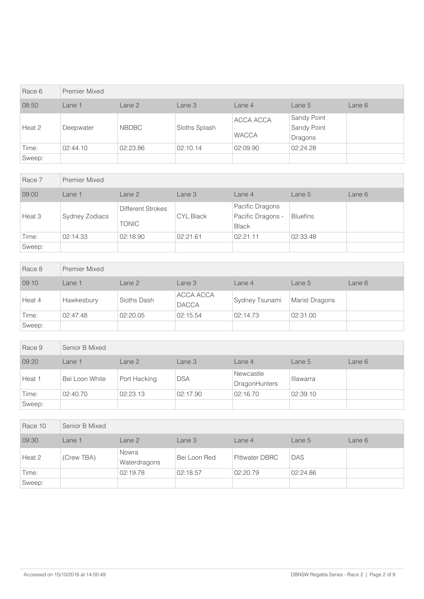| Race 6 | <b>Premier Mixed</b> |              |               |                           |                                       |        |
|--------|----------------------|--------------|---------------|---------------------------|---------------------------------------|--------|
| 08:50  | Lane 1               | Lane 2       | Lane 3        | Lane 4                    | Lane 5                                | Lane 6 |
| Heat 2 | Deepwater            | <b>NBDBC</b> | Sloths Splash | ACCA ACCA<br><b>WACCA</b> | Sandy Point<br>Sandy Point<br>Dragons |        |
| Time:  | 02:44.10             | 02:23.86     | 02:10.14      | 02:09.90                  | 02:24.28                              |        |
| Sweep: |                      |              |               |                           |                                       |        |

| Race 7 | <b>Premier Mixed</b> |                                          |                  |                                                      |                 |        |
|--------|----------------------|------------------------------------------|------------------|------------------------------------------------------|-----------------|--------|
| 09:00  | Lane 1               | Lane 2                                   | Lane 3           | Lane 4                                               | Lane $5$        | Lane 6 |
| Heat 3 | Sydney Zodiacs       | <b>Different Strokes</b><br><b>TONIC</b> | <b>CYL Black</b> | Pacific Dragons<br>Pacific Dragons -<br><b>Black</b> | <b>Bluefins</b> |        |
| Time:  | 02:14.33             | 02:18.90                                 | 02:21.61         | 02:21.11                                             | 02:33.48        |        |
| Sweep: |                      |                                          |                  |                                                      |                 |        |

| Race 8 | <b>Premier Mixed</b> |             |                           |                |                       |        |
|--------|----------------------|-------------|---------------------------|----------------|-----------------------|--------|
| 09:10  | Lane 1               | Lane 2      | Lane 3                    | Lane 4         | Lane 5                | Lane 6 |
| Heat 4 | Hawkesbury           | Sloths Dash | ACCA ACCA<br><b>DACCA</b> | Sydney Tsunami | <b>Marist Dragons</b> |        |
| Time:  | 02:47.48             | 02:20.05    | 02:15.54                  | 02:14.73       | 02:31.00              |        |
| Sweep: |                      |             |                           |                |                       |        |

| Race 9 | Senior B Mixed |              |            |                            |                  |        |
|--------|----------------|--------------|------------|----------------------------|------------------|--------|
| 09:20  | Lane 1         | Lane 2       | Lane 3     | Lane 4                     | Lane 5           | Lane 6 |
| Heat 1 | Bei Loon White | Port Hacking | <b>DSA</b> | Newcastle<br>DragonHunters | <b>Illawarra</b> |        |
| Time:  | 02:40.70       | 02:23.13     | 02:17.90   | 02:16.70                   | 02:39.10         |        |
| Sweep: |                |              |            |                            |                  |        |

| Race 10 | Senior B Mixed |                       |              |                       |          |        |
|---------|----------------|-----------------------|--------------|-----------------------|----------|--------|
| 09:30   | Lane 1         | Lane 2                | Lane 3       | Lane 4                | Lane 5   | Lane 6 |
| Heat 2  | (Crew TBA)     | Nowra<br>Waterdragons | Bei Loon Red | <b>Pittwater DBRC</b> | DAS      |        |
| Time:   |                | 02:19.78              | 02:18.57     | 02:20.79              | 02:24.86 |        |
| Sweep:  |                |                       |              |                       |          |        |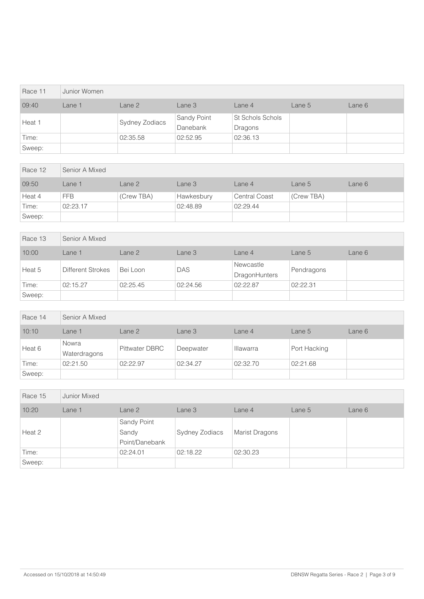| Race 11 | Junior Women |                |                         |                             |        |        |
|---------|--------------|----------------|-------------------------|-----------------------------|--------|--------|
| 09:40   | Lane 1       | Lane 2         | Lane 3                  | Lane 4                      | Lane 5 | Lane 6 |
| Heat 1  |              | Sydney Zodiacs | Sandy Point<br>Danebank | St Schols Schols<br>Dragons |        |        |
| Time:   |              | 02:35.58       | 02:52.95                | 02:36.13                    |        |        |
| Sweep:  |              |                |                         |                             |        |        |

| Race 12 | Senior A Mixed |            |            |                      |            |        |  |  |
|---------|----------------|------------|------------|----------------------|------------|--------|--|--|
| 09:50   | Lane 1         | Lane 2     | Lane 3     | Lane 4               | Lane $5$   | Lane 6 |  |  |
| Heat 4  | <b>FFB</b>     | (Crew TBA) | Hawkesbury | <b>Central Coast</b> | (Crew TBA) |        |  |  |
| Time:   | 02:23.17       |            | 02:48.89   | 02:29.44             |            |        |  |  |
| Sweep:  |                |            |            |                      |            |        |  |  |

| Race 13 | Senior A Mixed    |          |            |                                   |            |        |  |  |
|---------|-------------------|----------|------------|-----------------------------------|------------|--------|--|--|
| 10:00   | Lane 1            | Lane 2   | Lane 3     | Lane 4                            | Lane 5     | Lane 6 |  |  |
| Heat 5  | Different Strokes | Bei Loon | <b>DAS</b> | Newcastle<br><b>DragonHunters</b> | Pendragons |        |  |  |
| Time:   | 02:15.27          | 02:25.45 | 02:24.56   | 02:22.87                          | 02:22.31   |        |  |  |
| Sweep:  |                   |          |            |                                   |            |        |  |  |

| Race 14 | Senior A Mixed        |                |           |           |              |        |
|---------|-----------------------|----------------|-----------|-----------|--------------|--------|
| 10:10   | Lane 1                | Lane 2         | Lane 3    | Lane 4    | Lane 5       | Lane 6 |
| Heat 6  | Nowra<br>Waterdragons | Pittwater DBRC | Deepwater | Illawarra | Port Hacking |        |
| Time:   | 02:21.50              | 02:22.97       | 02:34.27  | 02:32.70  | 02:21.68     |        |
| Sweep:  |                       |                |           |           |              |        |

| Race 15 | Junior Mixed |                                        |                |                       |        |        |
|---------|--------------|----------------------------------------|----------------|-----------------------|--------|--------|
| 10:20   | Lane 1       | Lane 2                                 | Lane 3         | Lane 4                | Lane 5 | Lane 6 |
| Heat 2  |              | Sandy Point<br>Sandy<br>Point/Danebank | Sydney Zodiacs | <b>Marist Dragons</b> |        |        |
| Time:   |              | 02:24.01                               | 02:18.22       | 02:30.23              |        |        |
| Sweep:  |              |                                        |                |                       |        |        |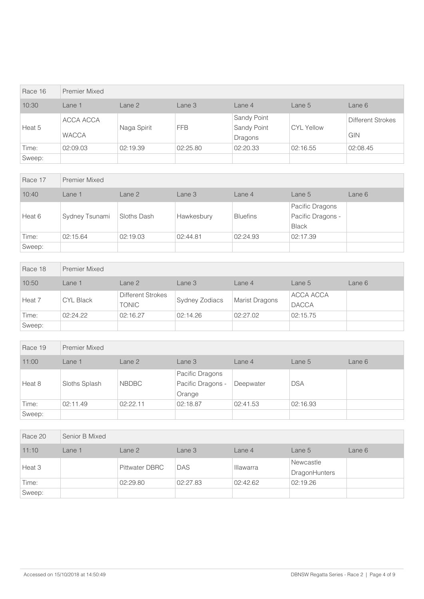| Race 16 | Premier Mixed             |             |            |                                       |                   |                          |
|---------|---------------------------|-------------|------------|---------------------------------------|-------------------|--------------------------|
| 10:30   | Lane 1                    | Lane 2      | Lane 3     | Lane $4$                              | Lane 5            | Lane 6                   |
| Heat 5  | ACCA ACCA<br><b>WACCA</b> | Naga Spirit | <b>FFB</b> | Sandy Point<br>Sandy Point<br>Dragons | <b>CYL Yellow</b> | Different Strokes<br>GIN |
| Time:   | 02:09.03                  | 02:19.39    | 02:25.80   | 02:20.33                              | 02:16.55          | 02:08.45                 |
| Sweep:  |                           |             |            |                                       |                   |                          |

| Race 17 | <b>Premier Mixed</b> |             |            |                 |                                                      |        |
|---------|----------------------|-------------|------------|-----------------|------------------------------------------------------|--------|
| 10:40   | Lane 1               | Lane 2      | Lane 3     | Lane 4          | Lane 5                                               | Lane 6 |
| Heat 6  | Sydney Tsunami       | Sloths Dash | Hawkesbury | <b>Bluefins</b> | Pacific Dragons<br>Pacific Dragons -<br><b>Black</b> |        |
| Time:   | 02:15.64             | 02:19.03    | 02:44.81   | 02:24.93        | 02:17.39                                             |        |
| Sweep:  |                      |             |            |                 |                                                      |        |

| Race 18 | <b>Premier Mixed</b> |                            |                |                       |                           |        |
|---------|----------------------|----------------------------|----------------|-----------------------|---------------------------|--------|
| 10:50   | Lane 1               | Lane 2                     | Lane 3         | Lane 4                | Lane 5                    | Lane 6 |
| Heat 7  | <b>CYL Black</b>     | Different Strokes<br>TONIC | Sydney Zodiacs | <b>Marist Dragons</b> | ACCA ACCA<br><b>DACCA</b> |        |
| Time:   | 02:24.22             | 02:16.27                   | 02:14.26       | 02:27.02              | 02:15.75                  |        |
| Sweep:  |                      |                            |                |                       |                           |        |

| Race 19 | <b>Premier Mixed</b> |              |                                                |           |            |        |  |
|---------|----------------------|--------------|------------------------------------------------|-----------|------------|--------|--|
| 11:00   | Lane 1               | Lane 2       | Lane 3                                         | Lane 4    | Lane 5     | Lane 6 |  |
| Heat 8  | Sloths Splash        | <b>NBDBC</b> | Pacific Dragons<br>Pacific Dragons -<br>Orange | Deepwater | <b>DSA</b> |        |  |
| Time:   | 02:11.49             | 02:22.11     | 02:18.87                                       | 02:41.53  | 02:16.93   |        |  |
| Sweep:  |                      |              |                                                |           |            |        |  |

| Race 20 | Senior B Mixed |                       |            |           |                            |        |
|---------|----------------|-----------------------|------------|-----------|----------------------------|--------|
| 11:10   | Lane 1         | Lane 2                | Lane 3     | Lane 4    | Lane 5                     | Lane 6 |
| Heat 3  |                | <b>Pittwater DBRC</b> | <b>DAS</b> | Illawarra | Newcastle<br>DragonHunters |        |
| Time:   |                | 02:29.80              | 02:27.83   | 02:42.62  | 02:19.26                   |        |
| Sweep:  |                |                       |            |           |                            |        |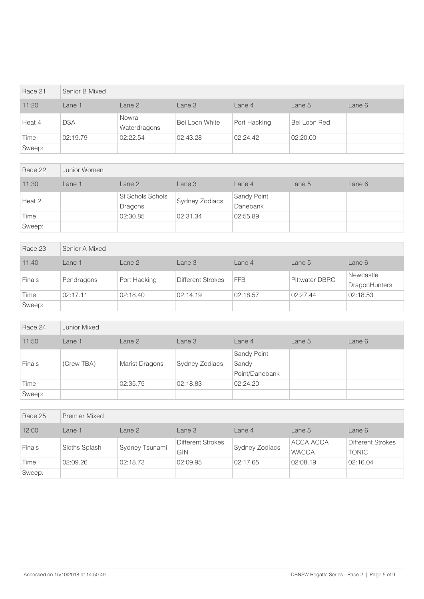| Race 21 | Senior B Mixed |                       |                |              |              |        |
|---------|----------------|-----------------------|----------------|--------------|--------------|--------|
| 11:20   | Lane 1         | Lane 2                | Lane 3         | Lane 4       | Lane 5       | Lane 6 |
| Heat 4  | <b>DSA</b>     | Nowra<br>Waterdragons | Bei Loon White | Port Hacking | Bei Loon Red |        |
| Time:   | 02:19.79       | 02:22.54              | 02:43.28       | 02:24.42     | 02:20.00     |        |
| Sweep:  |                |                       |                |              |              |        |

| Race 22 | Junior Women |                             |                |                         |        |        |
|---------|--------------|-----------------------------|----------------|-------------------------|--------|--------|
| 11:30   | Lane 1       | Lane 2                      | Lane 3         | Lane 4                  | Lane 5 | Lane 6 |
| Heat 2  |              | St Schols Schols<br>Dragons | Sydney Zodiacs | Sandy Point<br>Danebank |        |        |
| Time:   |              | 02:30.85                    | 02:31.34       | 02:55.89                |        |        |
| Sweep:  |              |                             |                |                         |        |        |

| Race 23       | Senior A Mixed |              |                   |            |                       |                            |  |  |
|---------------|----------------|--------------|-------------------|------------|-----------------------|----------------------------|--|--|
| 11:40         | Lane 1         | Lane 2       | Lane 3            | Lane 4     | Lane 5                | Lane 6                     |  |  |
| <b>Finals</b> | Pendragons     | Port Hacking | Different Strokes | <b>FFB</b> | <b>Pittwater DBRC</b> | Newcastle<br>DragonHunters |  |  |
| Time:         | 02:17.11       | 02:18.40     | 02:14.19          | 02:18.57   | 02:27.44              | 02:18.53                   |  |  |
| Sweep:        |                |              |                   |            |                       |                            |  |  |

| Race 24       | Junior Mixed |                |                |                                        |        |        |
|---------------|--------------|----------------|----------------|----------------------------------------|--------|--------|
| 11:50         | Lane 1       | Lane 2         | Lane 3         | Lane 4                                 | Lane 5 | Lane 6 |
| <b>Finals</b> | (Crew TBA)   | Marist Dragons | Sydney Zodiacs | Sandy Point<br>Sandy<br>Point/Danebank |        |        |
| Time:         |              | 02:35.75       | 02:18.83       | 02:24.20                               |        |        |
| Sweep:        |              |                |                |                                        |        |        |

| Race 25       | <b>Premier Mixed</b> |                |                          |                       |                           |                                          |
|---------------|----------------------|----------------|--------------------------|-----------------------|---------------------------|------------------------------------------|
| 12:00         | Lane 1               | Lane 2         | Lane 3                   | Lane 4                | Lane $5$                  | Lane 6                                   |
| <b>Finals</b> | Sloths Splash        | Sydney Tsunami | Different Strokes<br>GIN | <b>Sydney Zodiacs</b> | ACCA ACCA<br><b>WACCA</b> | <b>Different Strokes</b><br><b>TONIC</b> |
| Time:         | 02:09.26             | 02:18.73       | 02:09.95                 | 02:17.65              | 02:08.19                  | 02:16.04                                 |
| Sweep:        |                      |                |                          |                       |                           |                                          |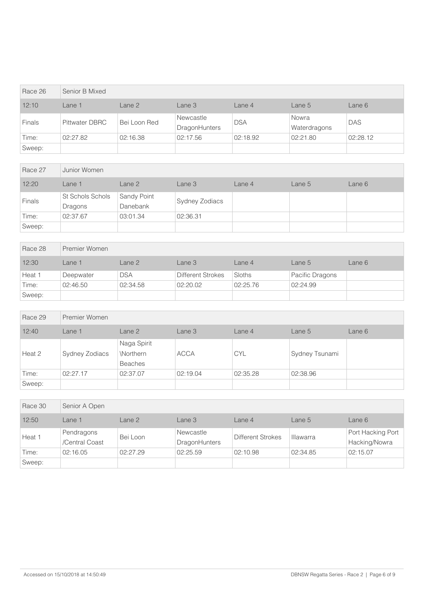| Race 26       | Senior B Mixed        |              |                                   |            |                       |            |
|---------------|-----------------------|--------------|-----------------------------------|------------|-----------------------|------------|
| 12:10         | Lane 1                | Lane 2       | Lane 3                            | Lane 4     | Lane 5                | Lane 6     |
| <b>Finals</b> | <b>Pittwater DBRC</b> | Bei Loon Red | Newcastle<br><b>DragonHunters</b> | <b>DSA</b> | Nowra<br>Waterdragons | <b>DAS</b> |
| Time:         | 02:27.82              | 02:16.38     | 02:17.56                          | 02:18.92   | 02:21.80              | 02:28.12   |
| Sweep:        |                       |              |                                   |            |                       |            |

| Race 27 | Junior Women                |                         |                |        |        |        |
|---------|-----------------------------|-------------------------|----------------|--------|--------|--------|
| 12:20   | Lane 1                      | Lane 2                  | Lane 3         | Lane 4 | Lane 5 | Lane 6 |
| Finals  | St Schols Schols<br>Dragons | Sandy Point<br>Danebank | Sydney Zodiacs |        |        |        |
| Time:   | 02:37.67                    | 03:01.34                | 02:36.31       |        |        |        |
| Sweep:  |                             |                         |                |        |        |        |

| Race 28 | Premier Women |            |                   |          |                 |        |  |  |
|---------|---------------|------------|-------------------|----------|-----------------|--------|--|--|
| 12:30   | Lane 1        | Lane 2     | Lane 3            | Lane 4   | Lane 5          | Lane 6 |  |  |
| Heat 1  | Deepwater     | <b>DSA</b> | Different Strokes | Sloths   | Pacific Dragons |        |  |  |
| Time:   | 02:46.50      | 02:34.58   | 02:20.02          | 02:25.76 | 02:24.99        |        |  |  |
| Sweep:  |               |            |                   |          |                 |        |  |  |

| Race 29 | Premier Women  |                                            |             |            |                |        |  |
|---------|----------------|--------------------------------------------|-------------|------------|----------------|--------|--|
| 12:40   | Lane 1         | Lane 2                                     | Lane 3      | Lane 4     | Lane 5         | Lane 6 |  |
| Heat 2  | Sydney Zodiacs | Naga Spirit<br>\Northern<br><b>Beaches</b> | <b>ACCA</b> | <b>CYL</b> | Sydney Tsunami |        |  |
| Time:   | 02:27.17       | 02:37.07                                   | 02:19.04    | 02:35.28   | 02:38.96       |        |  |
| Sweep:  |                |                                            |             |            |                |        |  |

| Race 30 | Senior A Open                |          |                                   |                          |                  |                                    |
|---------|------------------------------|----------|-----------------------------------|--------------------------|------------------|------------------------------------|
| 12:50   | Lane 1                       | Lane 2   | Lane 3                            | Lane $4$                 | Lane 5           | Lane 6                             |
| Heat 1  | Pendragons<br>/Central Coast | Bei Loon | Newcastle<br><b>DragonHunters</b> | <b>Different Strokes</b> | <b>Illawarra</b> | Port Hacking Port<br>Hacking/Nowra |
| Time:   | 02:16.05                     | 02:27.29 | 02:25.59                          | 02:10.98                 | 02:34.85         | 02:15.07                           |
| Sweep:  |                              |          |                                   |                          |                  |                                    |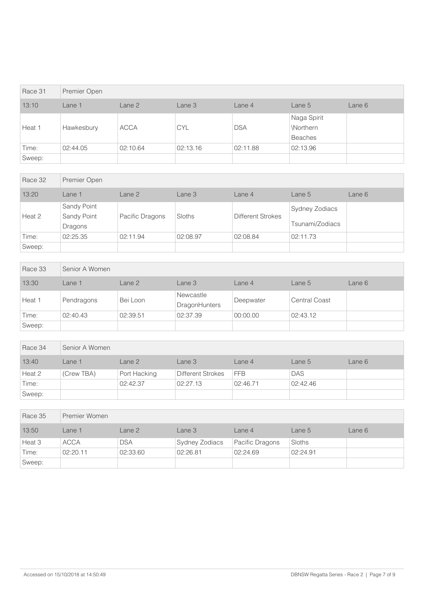| Race 31 | Premier Open |             |            |            |                                            |        |
|---------|--------------|-------------|------------|------------|--------------------------------------------|--------|
| 13:10   | Lane 1       | Lane 2      | Lane 3     | Lane 4     | Lane 5                                     | Lane 6 |
| Heat 1  | Hawkesbury   | <b>ACCA</b> | <b>CYL</b> | <b>DSA</b> | Naga Spirit<br>\Northern<br><b>Beaches</b> |        |
| Time:   | 02:44.05     | 02:10.64    | 02:13.16   | 02:11.88   | 02:13.96                                   |        |
| Sweep:  |              |             |            |            |                                            |        |

| Race 32 | Premier Open                          |                 |          |                          |                                          |        |
|---------|---------------------------------------|-----------------|----------|--------------------------|------------------------------------------|--------|
| 13:20   | Lane $1$                              | Lane 2          | Lane 3   | Lane 4                   | Lane 5                                   | Lane 6 |
| Heat 2  | Sandy Point<br>Sandy Point<br>Dragons | Pacific Dragons | Sloths   | <b>Different Strokes</b> | <b>Sydney Zodiacs</b><br>Tsunami/Zodiacs |        |
| Time:   | 02:25.35                              | 02:11.94        | 02:08.97 | 02:08.84                 | 02:11.73                                 |        |
| Sweep:  |                                       |                 |          |                          |                                          |        |

| Race 33 | Senior A Women |          |                                   |           |                      |        |  |  |
|---------|----------------|----------|-----------------------------------|-----------|----------------------|--------|--|--|
| 13:30   | Lane 1         | Lane 2   | Lane 3                            | Lane 4    | Lane 5               | Lane 6 |  |  |
| Heat 1  | Pendragons     | Bei Loon | Newcastle<br><b>DragonHunters</b> | Deepwater | <b>Central Coast</b> |        |  |  |
| Time:   | 02:40.43       | 02:39.51 | 02:37.39                          | 00:00.00  | 02:43.12             |        |  |  |
| Sweep:  |                |          |                                   |           |                      |        |  |  |

| Race 34 | Senior A Women |              |                          |            |            |        |  |  |
|---------|----------------|--------------|--------------------------|------------|------------|--------|--|--|
| 13:40   | Lane 1         | Lane 2       | Lane 3                   | Lane 4     | Lane $5$   | Lane 6 |  |  |
| Heat 2  | (Crew TBA)     | Port Hacking | <b>Different Strokes</b> | <b>FFB</b> | <b>DAS</b> |        |  |  |
| Time:   |                | 02:42.37     | 02:27.13                 | 02:46.71   | 02:42.46   |        |  |  |
| Sweep:  |                |              |                          |            |            |        |  |  |

| Race 35 | Premier Women |            |                |                 |          |        |  |  |
|---------|---------------|------------|----------------|-----------------|----------|--------|--|--|
| 13:50   | Lane 1        | Lane 2     | Lane 3         | Lane 4          | Lane 5   | Lane 6 |  |  |
| Heat 3  | <b>ACCA</b>   | <b>DSA</b> | Sydney Zodiacs | Pacific Dragons | Sloths   |        |  |  |
| Time:   | 02:20.11      | 02:33.60   | 02:26.81       | 02:24.69        | 02:24.91 |        |  |  |
| Sweep:  |               |            |                |                 |          |        |  |  |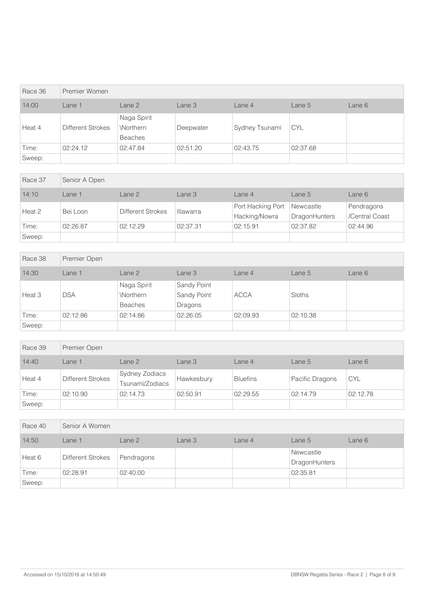| Race 36 | Premier Women     |                                           |           |                |            |        |  |
|---------|-------------------|-------------------------------------------|-----------|----------------|------------|--------|--|
| 14:00   | Lane 1            | Lane 2                                    | Lane 3    | Lane 4         | Lane 5     | Lane 6 |  |
| Heat 4  | Different Strokes | Naga Spirit<br>Northern<br><b>Beaches</b> | Deepwater | Sydney Tsunami | <b>CYL</b> |        |  |
| Time:   | 02:24.12          | 02:47.84                                  | 02:51.20  | 02:43.75       | 02:37.68   |        |  |
| Sweep:  |                   |                                           |           |                |            |        |  |

| Race 37 | Senior A Open |                          |                  |                                    |                                   |                              |  |
|---------|---------------|--------------------------|------------------|------------------------------------|-----------------------------------|------------------------------|--|
| 14:10   | Lane 1        | Lane 2                   | Lane 3           | Lane $4$                           | Lane $5$                          | Lane $6$                     |  |
| Heat 2  | Bei Loon      | <b>Different Strokes</b> | <b>Illawarra</b> | Port Hacking Port<br>Hacking/Nowra | Newcastle<br><b>DragonHunters</b> | Pendragons<br>/Central Coast |  |
| Time:   | 02:26.87      | 02:12.29                 | 02:37.31         | 02:15.91                           | 02:37.82                          | 02:44.96                     |  |
| Sweep:  |               |                          |                  |                                    |                                   |                              |  |

| Race 38 | Premier Open |                                            |                                       |             |          |        |  |  |
|---------|--------------|--------------------------------------------|---------------------------------------|-------------|----------|--------|--|--|
| 14:30   | Lane 1       | Lane 2                                     | Lane 3                                | Lane 4      | Lane 5   | Lane 6 |  |  |
| Heat 3  | <b>DSA</b>   | Naga Spirit<br>\Northern<br><b>Beaches</b> | Sandy Point<br>Sandy Point<br>Dragons | <b>ACCA</b> | Sloths   |        |  |  |
| Time:   | 02:12.86     | 02:14.86                                   | 02:26.05                              | 02:09.93    | 02:10.38 |        |  |  |
| Sweep:  |              |                                            |                                       |             |          |        |  |  |

| Race 39 | Premier Open             |                                   |            |                 |                 |            |  |
|---------|--------------------------|-----------------------------------|------------|-----------------|-----------------|------------|--|
| 14:40   | Lane 1                   | Lane <sub>2</sub>                 | Lane 3     | Lane 4          | Lane $5$        | Lane 6     |  |
| Heat 4  | <b>Different Strokes</b> | Sydney Zodiacs<br>Tsunami/Zodiacs | Hawkesbury | <b>Bluefins</b> | Pacific Dragons | <b>CYL</b> |  |
| Time:   | 02:10.90                 | 02:14.73                          | 02:50.91   | 02:29.55        | 02:14.79        | 02:12.78   |  |
| Sweep:  |                          |                                   |            |                 |                 |            |  |

| Race 40 | Senior A Women           |            |        |        |                            |        |  |
|---------|--------------------------|------------|--------|--------|----------------------------|--------|--|
| 14:50   | Lane 1                   | Lane 2     | Lane 3 | Lane 4 | Lane 5                     | Lane 6 |  |
| Heat 6  | <b>Different Strokes</b> | Pendragons |        |        | Newcastle<br>DragonHunters |        |  |
| Time:   | 02:28.91                 | 02:40.00   |        |        | 02:35.81                   |        |  |
| Sweep:  |                          |            |        |        |                            |        |  |